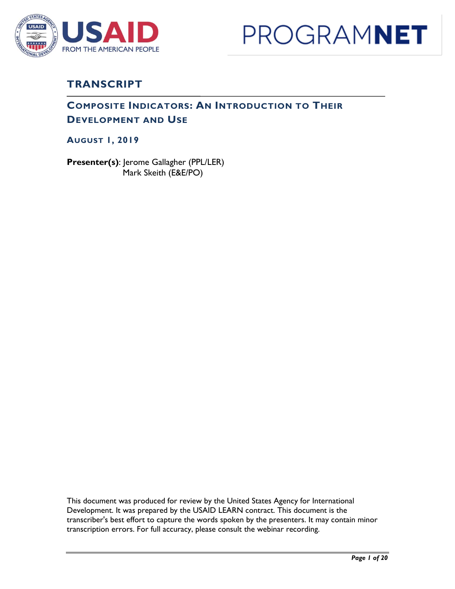



## **TRANSCRIPT**

### **COMPOSITE INDICATORS: AN INTRODUCTION TO THEIR DEVELOPMENT AND USE**

**AUGUST 1, 2019**

**Presenter(s)**: Jerome Gallagher (PPL/LER) Mark Skeith (E&E/PO)

This document was produced for review by the United States Agency for International Development. It was prepared by the USAID LEARN contract. This document is the transcriber's best effort to capture the words spoken by the presenters. It may contain minor transcription errors. For full accuracy, please consult the webinar recording.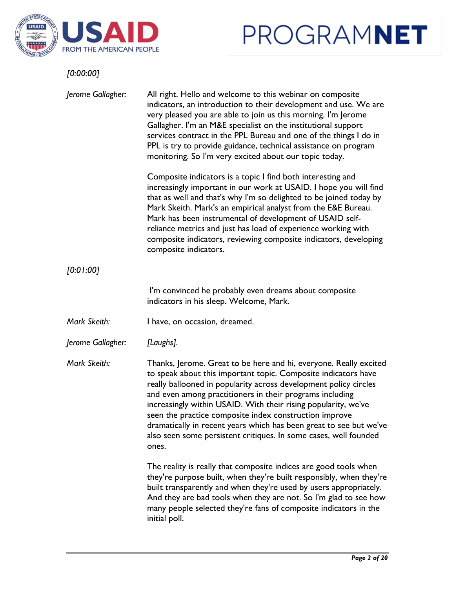



| [0:00:00]         |                                                                                                                                                                                                                                                                                                                                                                                                                                                                                                                                                    |
|-------------------|----------------------------------------------------------------------------------------------------------------------------------------------------------------------------------------------------------------------------------------------------------------------------------------------------------------------------------------------------------------------------------------------------------------------------------------------------------------------------------------------------------------------------------------------------|
| Jerome Gallagher: | All right. Hello and welcome to this webinar on composite<br>indicators, an introduction to their development and use. We are<br>very pleased you are able to join us this morning. I'm Jerome<br>Gallagher. I'm an M&E specialist on the institutional support<br>services contract in the PPL Bureau and one of the things I do in<br>PPL is try to provide guidance, technical assistance on program<br>monitoring. So I'm very excited about our topic today.                                                                                  |
|                   | Composite indicators is a topic I find both interesting and<br>increasingly important in our work at USAID. I hope you will find<br>that as well and that's why I'm so delighted to be joined today by<br>Mark Skeith. Mark's an empirical analyst from the E&E Bureau.<br>Mark has been instrumental of development of USAID self-<br>reliance metrics and just has load of experience working with<br>composite indicators, reviewing composite indicators, developing<br>composite indicators.                                                  |
| [0.01.00]         |                                                                                                                                                                                                                                                                                                                                                                                                                                                                                                                                                    |
|                   | I'm convinced he probably even dreams about composite<br>indicators in his sleep. Welcome, Mark.                                                                                                                                                                                                                                                                                                                                                                                                                                                   |
| Mark Skeith:      | I have, on occasion, dreamed.                                                                                                                                                                                                                                                                                                                                                                                                                                                                                                                      |
| Jerome Gallagher: | [Laughs].                                                                                                                                                                                                                                                                                                                                                                                                                                                                                                                                          |
| Mark Skeith:      | Thanks, Jerome. Great to be here and hi, everyone. Really excited<br>to speak about this important topic. Composite indicators have<br>really ballooned in popularity across development policy circles<br>and even among practitioners in their programs including<br>increasingly within USAID. With their rising popularity, we've<br>seen the practice composite index construction improve<br>dramatically in recent years which has been great to see but we've<br>also seen some persistent critiques. In some cases, well founded<br>ones. |
|                   | The reality is really that composite indices are good tools when<br>they're purpose built, when they're built responsibly, when they're<br>built transparently and when they're used by users appropriately.<br>And they are bad tools when they are not. So I'm glad to see how<br>many people selected they're fans of composite indicators in the<br>initial poll.                                                                                                                                                                              |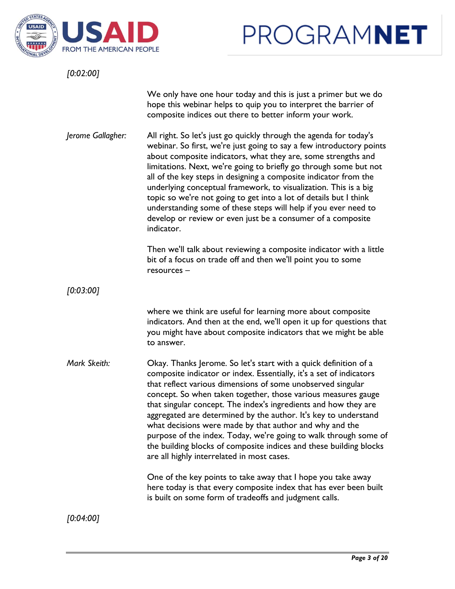

*[0:02:00]*

We only have one hour today and this is just a primer but we do hope this webinar helps to quip you to interpret the barrier of composite indices out there to better inform your work.

*Jerome Gallagher:* All right. So let's just go quickly through the agenda for today's webinar. So first, we're just going to say a few introductory points about composite indicators, what they are, some strengths and limitations. Next, we're going to briefly go through some but not all of the key steps in designing a composite indicator from the underlying conceptual framework, to visualization. This is a big topic so we're not going to get into a lot of details but I think understanding some of these steps will help if you ever need to develop or review or even just be a consumer of a composite indicator.

> Then we'll talk about reviewing a composite indicator with a little bit of a focus on trade off and then we'll point you to some resources –

*[0:03:00]*

where we think are useful for learning more about composite indicators. And then at the end, we'll open it up for questions that you might have about composite indicators that we might be able to answer.

*Mark Skeith:* **Okay. Thanks Jerome. So let's start with a quick definition of a** composite indicator or index. Essentially, it's a set of indicators that reflect various dimensions of some unobserved singular concept. So when taken together, those various measures gauge that singular concept. The index's ingredients and how they are aggregated are determined by the author. It's key to understand what decisions were made by that author and why and the purpose of the index. Today, we're going to walk through some of the building blocks of composite indices and these building blocks are all highly interrelated in most cases.

> One of the key points to take away that I hope you take away here today is that every composite index that has ever been built is built on some form of tradeoffs and judgment calls.

*[0:04:00]*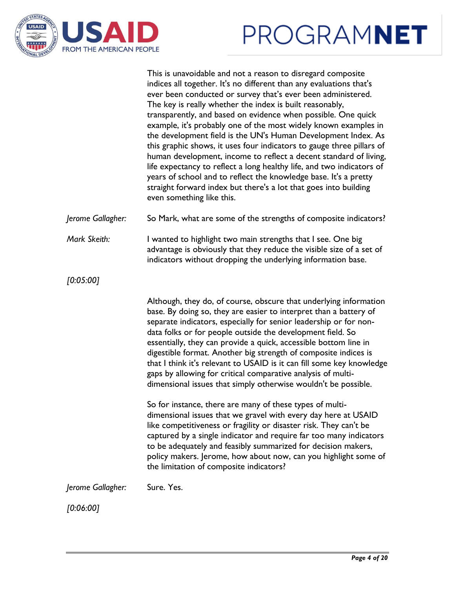



This is unavoidable and not a reason to disregard composite indices all together. It's no different than any evaluations that's ever been conducted or survey that's ever been administered. The key is really whether the index is built reasonably, transparently, and based on evidence when possible. One quick example, it's probably one of the most widely known examples in the development field is the UN's Human Development Index. As this graphic shows, it uses four indicators to gauge three pillars of human development, income to reflect a decent standard of living, life expectancy to reflect a long healthy life, and two indicators of years of school and to reflect the knowledge base. It's a pretty straight forward index but there's a lot that goes into building even something like this.

*Jerome Gallagher:* So Mark, what are some of the strengths of composite indicators?

*Mark Skeith:* I wanted to highlight two main strengths that I see. One big advantage is obviously that they reduce the visible size of a set of indicators without dropping the underlying information base.

*[0:05:00]*

Although, they do, of course, obscure that underlying information base. By doing so, they are easier to interpret than a battery of separate indicators, especially for senior leadership or for nondata folks or for people outside the development field. So essentially, they can provide a quick, accessible bottom line in digestible format. Another big strength of composite indices is that I think it's relevant to USAID is it can fill some key knowledge gaps by allowing for critical comparative analysis of multidimensional issues that simply otherwise wouldn't be possible.

So for instance, there are many of these types of multidimensional issues that we gravel with every day here at USAID like competitiveness or fragility or disaster risk. They can't be captured by a single indicator and require far too many indicators to be adequately and feasibly summarized for decision makers, policy makers. Jerome, how about now, can you highlight some of the limitation of composite indicators?

*Jerome Gallagher:* Sure. Yes.

*[0:06:00]*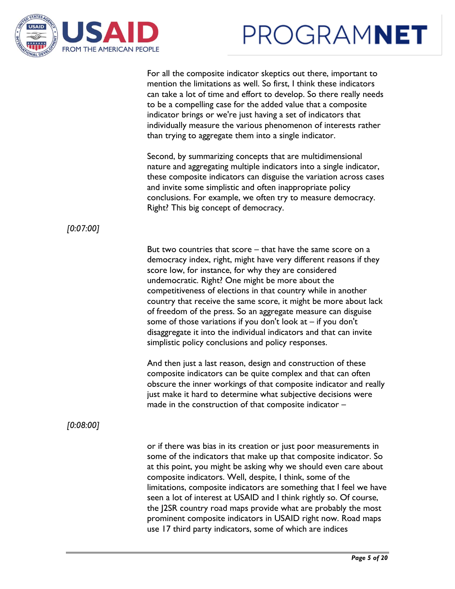



For all the composite indicator skeptics out there, important to mention the limitations as well. So first, I think these indicators can take a lot of time and effort to develop. So there really needs to be a compelling case for the added value that a composite indicator brings or we're just having a set of indicators that individually measure the various phenomenon of interests rather than trying to aggregate them into a single indicator.

Second, by summarizing concepts that are multidimensional nature and aggregating multiple indicators into a single indicator, these composite indicators can disguise the variation across cases and invite some simplistic and often inappropriate policy conclusions. For example, we often try to measure democracy. Right? This big concept of democracy.

### *[0:07:00]*

But two countries that score – that have the same score on a democracy index, right, might have very different reasons if they score low, for instance, for why they are considered undemocratic. Right? One might be more about the competitiveness of elections in that country while in another country that receive the same score, it might be more about lack of freedom of the press. So an aggregate measure can disguise some of those variations if you don't look at – if you don't disaggregate it into the individual indicators and that can invite simplistic policy conclusions and policy responses.

And then just a last reason, design and construction of these composite indicators can be quite complex and that can often obscure the inner workings of that composite indicator and really just make it hard to determine what subjective decisions were made in the construction of that composite indicator –

### *[0:08:00]*

or if there was bias in its creation or just poor measurements in some of the indicators that make up that composite indicator. So at this point, you might be asking why we should even care about composite indicators. Well, despite, I think, some of the limitations, composite indicators are something that I feel we have seen a lot of interest at USAID and I think rightly so. Of course, the J2SR country road maps provide what are probably the most prominent composite indicators in USAID right now. Road maps use 17 third party indicators, some of which are indices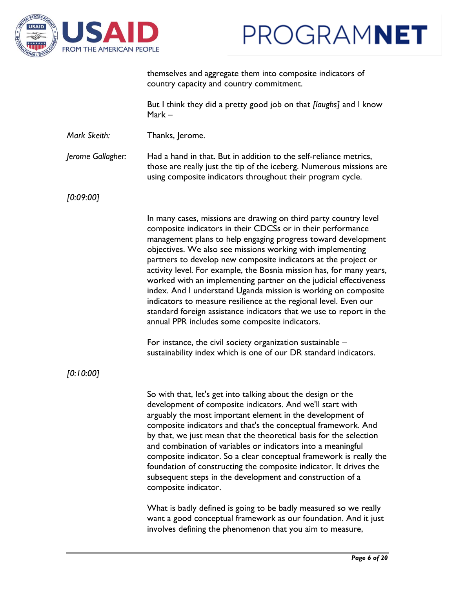

themselves and aggregate them into composite indicators of country capacity and country commitment.

But I think they did a pretty good job on that *[laughs]* and I know Mark –

*Mark Skeith:* Thanks, Jerome.

*Jerome Gallagher:* Had a hand in that. But in addition to the self-reliance metrics, those are really just the tip of the iceberg. Numerous missions are using composite indicators throughout their program cycle.

*[0:09:00]*

In many cases, missions are drawing on third party country level composite indicators in their CDCSs or in their performance management plans to help engaging progress toward development objectives. We also see missions working with implementing partners to develop new composite indicators at the project or activity level. For example, the Bosnia mission has, for many years, worked with an implementing partner on the judicial effectiveness index. And I understand Uganda mission is working on composite indicators to measure resilience at the regional level. Even our standard foreign assistance indicators that we use to report in the annual PPR includes some composite indicators.

For instance, the civil society organization sustainable – sustainability index which is one of our DR standard indicators.

*[0:10:00]*

So with that, let's get into talking about the design or the development of composite indicators. And we'll start with arguably the most important element in the development of composite indicators and that's the conceptual framework. And by that, we just mean that the theoretical basis for the selection and combination of variables or indicators into a meaningful composite indicator. So a clear conceptual framework is really the foundation of constructing the composite indicator. It drives the subsequent steps in the development and construction of a composite indicator.

What is badly defined is going to be badly measured so we really want a good conceptual framework as our foundation. And it just involves defining the phenomenon that you aim to measure,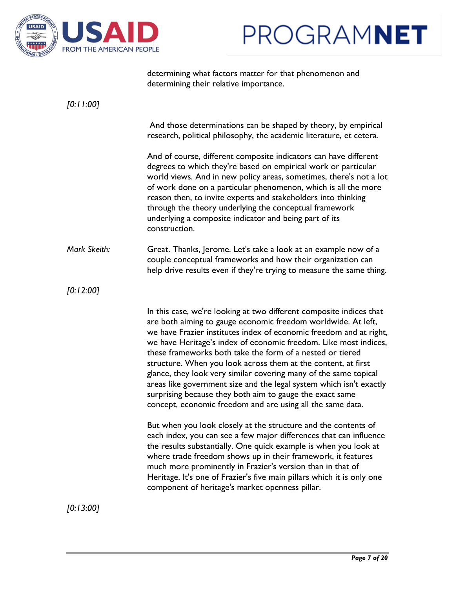



determining what factors matter for that phenomenon and determining their relative importance.

| [0:11:00]    |                                                                                                                                                                                                                                                                                                                                                                                                                                                                                                                                                                                                                                                                                   |
|--------------|-----------------------------------------------------------------------------------------------------------------------------------------------------------------------------------------------------------------------------------------------------------------------------------------------------------------------------------------------------------------------------------------------------------------------------------------------------------------------------------------------------------------------------------------------------------------------------------------------------------------------------------------------------------------------------------|
|              | And those determinations can be shaped by theory, by empirical<br>research, political philosophy, the academic literature, et cetera.                                                                                                                                                                                                                                                                                                                                                                                                                                                                                                                                             |
|              | And of course, different composite indicators can have different<br>degrees to which they're based on empirical work or particular<br>world views. And in new policy areas, sometimes, there's not a lot<br>of work done on a particular phenomenon, which is all the more<br>reason then, to invite experts and stakeholders into thinking<br>through the theory underlying the conceptual framework<br>underlying a composite indicator and being part of its<br>construction.                                                                                                                                                                                                  |
| Mark Skeith: | Great. Thanks, Jerome. Let's take a look at an example now of a<br>couple conceptual frameworks and how their organization can<br>help drive results even if they're trying to measure the same thing.                                                                                                                                                                                                                                                                                                                                                                                                                                                                            |
| [0.12:00]    |                                                                                                                                                                                                                                                                                                                                                                                                                                                                                                                                                                                                                                                                                   |
|              | In this case, we're looking at two different composite indices that<br>are both aiming to gauge economic freedom worldwide. At left,<br>we have Frazier institutes index of economic freedom and at right,<br>we have Heritage's index of economic freedom. Like most indices,<br>these frameworks both take the form of a nested or tiered<br>structure. When you look across them at the content, at first<br>glance, they look very similar covering many of the same topical<br>areas like government size and the legal system which isn't exactly<br>surprising because they both aim to gauge the exact same<br>concept, economic freedom and are using all the same data. |
|              | But when you look closely at the structure and the contents of<br>each index, you can see a few major differences that can influence<br>the results substantially. One quick example is when you look at<br>where trade freedom shows up in their framework, it features<br>much more prominently in Frazier's version than in that of<br>Heritage. It's one of Frazier's five main pillars which it is only one<br>component of heritage's market openness pillar.                                                                                                                                                                                                               |
| [0:13:00]    |                                                                                                                                                                                                                                                                                                                                                                                                                                                                                                                                                                                                                                                                                   |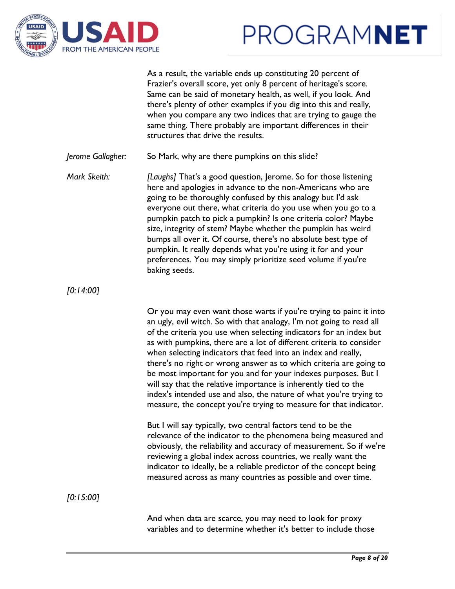



As a result, the variable ends up constituting 20 percent of Frazier's overall score, yet only 8 percent of heritage's score. Same can be said of monetary health, as well, if you look. And there's plenty of other examples if you dig into this and really, when you compare any two indices that are trying to gauge the same thing. There probably are important differences in their structures that drive the results.

*Jerome Gallagher:* So Mark, why are there pumpkins on this slide?

*Mark Skeith: [Laughs]* That's a good question, Jerome. So for those listening here and apologies in advance to the non-Americans who are going to be thoroughly confused by this analogy but I'd ask everyone out there, what criteria do you use when you go to a pumpkin patch to pick a pumpkin? Is one criteria color? Maybe size, integrity of stem? Maybe whether the pumpkin has weird bumps all over it. Of course, there's no absolute best type of pumpkin. It really depends what you're using it for and your preferences. You may simply prioritize seed volume if you're baking seeds.

*[0:14:00]*

Or you may even want those warts if you're trying to paint it into an ugly, evil witch. So with that analogy, I'm not going to read all of the criteria you use when selecting indicators for an index but as with pumpkins, there are a lot of different criteria to consider when selecting indicators that feed into an index and really, there's no right or wrong answer as to which criteria are going to be most important for you and for your indexes purposes. But I will say that the relative importance is inherently tied to the index's intended use and also, the nature of what you're trying to measure, the concept you're trying to measure for that indicator.

But I will say typically, two central factors tend to be the relevance of the indicator to the phenomena being measured and obviously, the reliability and accuracy of measurement. So if we're reviewing a global index across countries, we really want the indicator to ideally, be a reliable predictor of the concept being measured across as many countries as possible and over time.

*[0:15:00]*

And when data are scarce, you may need to look for proxy variables and to determine whether it's better to include those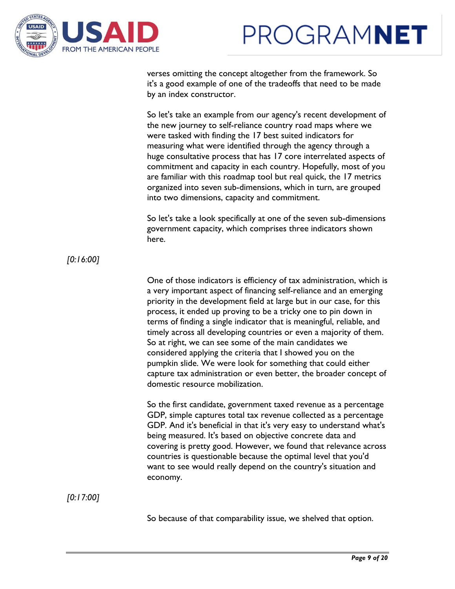



verses omitting the concept altogether from the framework. So it's a good example of one of the tradeoffs that need to be made by an index constructor.

So let's take an example from our agency's recent development of the new journey to self-reliance country road maps where we were tasked with finding the 17 best suited indicators for measuring what were identified through the agency through a huge consultative process that has 17 core interrelated aspects of commitment and capacity in each country. Hopefully, most of you are familiar with this roadmap tool but real quick, the 17 metrics organized into seven sub-dimensions, which in turn, are grouped into two dimensions, capacity and commitment.

So let's take a look specifically at one of the seven sub-dimensions government capacity, which comprises three indicators shown here.

*[0:16:00]*

One of those indicators is efficiency of tax administration, which is a very important aspect of financing self-reliance and an emerging priority in the development field at large but in our case, for this process, it ended up proving to be a tricky one to pin down in terms of finding a single indicator that is meaningful, reliable, and timely across all developing countries or even a majority of them. So at right, we can see some of the main candidates we considered applying the criteria that I showed you on the pumpkin slide. We were look for something that could either capture tax administration or even better, the broader concept of domestic resource mobilization.

So the first candidate, government taxed revenue as a percentage GDP, simple captures total tax revenue collected as a percentage GDP. And it's beneficial in that it's very easy to understand what's being measured. It's based on objective concrete data and covering is pretty good. However, we found that relevance across countries is questionable because the optimal level that you'd want to see would really depend on the country's situation and economy.

*[0:17:00]*

So because of that comparability issue, we shelved that option.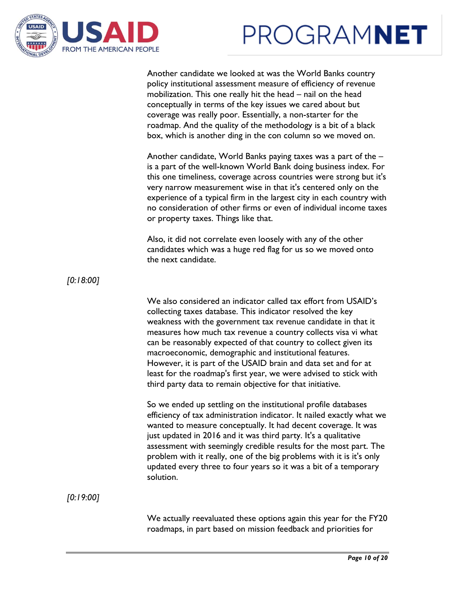



Another candidate we looked at was the World Banks country policy institutional assessment measure of efficiency of revenue mobilization. This one really hit the head – nail on the head conceptually in terms of the key issues we cared about but coverage was really poor. Essentially, a non-starter for the roadmap. And the quality of the methodology is a bit of a black box, which is another ding in the con column so we moved on.

Another candidate, World Banks paying taxes was a part of the – is a part of the well-known World Bank doing business index. For this one timeliness, coverage across countries were strong but it's very narrow measurement wise in that it's centered only on the experience of a typical firm in the largest city in each country with no consideration of other firms or even of individual income taxes or property taxes. Things like that.

Also, it did not correlate even loosely with any of the other candidates which was a huge red flag for us so we moved onto the next candidate.

*[0:18:00]*

We also considered an indicator called tax effort from USAID's collecting taxes database. This indicator resolved the key weakness with the government tax revenue candidate in that it measures how much tax revenue a country collects visa vi what can be reasonably expected of that country to collect given its macroeconomic, demographic and institutional features. However, it is part of the USAID brain and data set and for at least for the roadmap's first year, we were advised to stick with third party data to remain objective for that initiative.

So we ended up settling on the institutional profile databases efficiency of tax administration indicator. It nailed exactly what we wanted to measure conceptually. It had decent coverage. It was just updated in 2016 and it was third party. It's a qualitative assessment with seemingly credible results for the most part. The problem with it really, one of the big problems with it is it's only updated every three to four years so it was a bit of a temporary solution.

*[0:19:00]*

We actually reevaluated these options again this year for the FY20 roadmaps, in part based on mission feedback and priorities for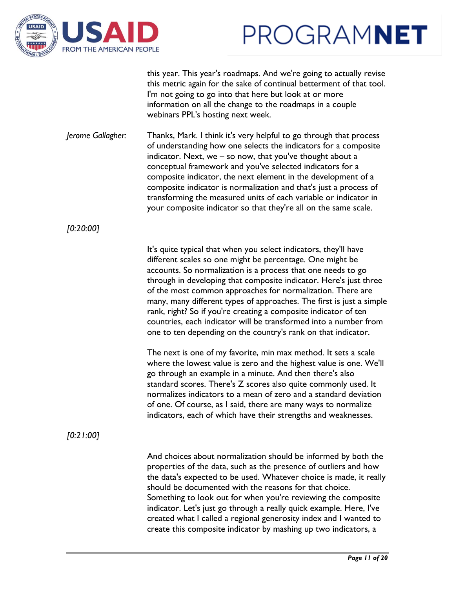

this year. This year's roadmaps. And we're going to actually revise this metric again for the sake of continual betterment of that tool. I'm not going to go into that here but look at or more information on all the change to the roadmaps in a couple webinars PPL's hosting next week.

*Jerome Gallagher:* Thanks, Mark. I think it's very helpful to go through that process of understanding how one selects the indicators for a composite indicator. Next, we – so now, that you've thought about a conceptual framework and you've selected indicators for a composite indicator, the next element in the development of a composite indicator is normalization and that's just a process of transforming the measured units of each variable or indicator in your composite indicator so that they're all on the same scale.

*[0:20:00]*

It's quite typical that when you select indicators, they'll have different scales so one might be percentage. One might be accounts. So normalization is a process that one needs to go through in developing that composite indicator. Here's just three of the most common approaches for normalization. There are many, many different types of approaches. The first is just a simple rank, right? So if you're creating a composite indicator of ten countries, each indicator will be transformed into a number from one to ten depending on the country's rank on that indicator.

The next is one of my favorite, min max method. It sets a scale where the lowest value is zero and the highest value is one. We'll go through an example in a minute. And then there's also standard scores. There's Z scores also quite commonly used. It normalizes indicators to a mean of zero and a standard deviation of one. Of course, as I said, there are many ways to normalize indicators, each of which have their strengths and weaknesses.

*[0:21:00]*

And choices about normalization should be informed by both the properties of the data, such as the presence of outliers and how the data's expected to be used. Whatever choice is made, it really should be documented with the reasons for that choice. Something to look out for when you're reviewing the composite indicator. Let's just go through a really quick example. Here, I've created what I called a regional generosity index and I wanted to create this composite indicator by mashing up two indicators, a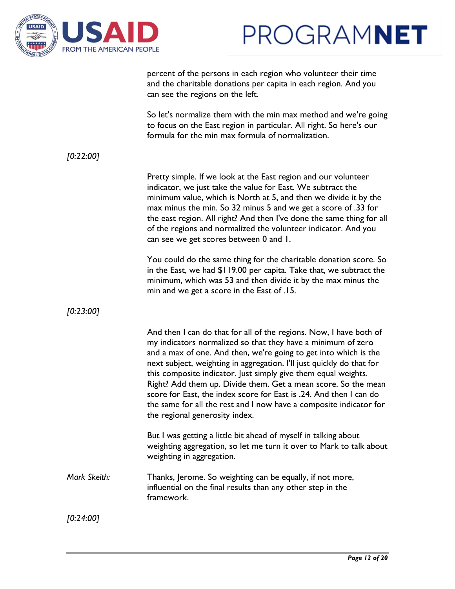



percent of the persons in each region who volunteer their time and the charitable donations per capita in each region. And you can see the regions on the left.

So let's normalize them with the min max method and we're going to focus on the East region in particular. All right. So here's our formula for the min max formula of normalization.

*[0:22:00]*

Pretty simple. If we look at the East region and our volunteer indicator, we just take the value for East. We subtract the minimum value, which is North at 5, and then we divide it by the max minus the min. So 32 minus 5 and we get a score of .33 for the east region. All right? And then I've done the same thing for all of the regions and normalized the volunteer indicator. And you can see we get scores between 0 and 1.

You could do the same thing for the charitable donation score. So in the East, we had \$119.00 per capita. Take that, we subtract the minimum, which was 53 and then divide it by the max minus the min and we get a score in the East of .15.

*[0:23:00]*

|              | And then I can do that for all of the regions. Now, I have both of<br>my indicators normalized so that they have a minimum of zero<br>and a max of one. And then, we're going to get into which is the<br>next subject, weighting in aggregation. I'll just quickly do that for<br>this composite indicator. Just simply give them equal weights.<br>Right? Add them up. Divide them. Get a mean score. So the mean<br>score for East, the index score for East is .24. And then I can do<br>the same for all the rest and I now have a composite indicator for<br>the regional generosity index. |
|--------------|---------------------------------------------------------------------------------------------------------------------------------------------------------------------------------------------------------------------------------------------------------------------------------------------------------------------------------------------------------------------------------------------------------------------------------------------------------------------------------------------------------------------------------------------------------------------------------------------------|
|              | But I was getting a little bit ahead of myself in talking about<br>weighting aggregation, so let me turn it over to Mark to talk about<br>weighting in aggregation.                                                                                                                                                                                                                                                                                                                                                                                                                               |
| Mark Skeith: | Thanks, Jerome. So weighting can be equally, if not more,<br>influential on the final results than any other step in the<br>framework.                                                                                                                                                                                                                                                                                                                                                                                                                                                            |

*[0:24:00]*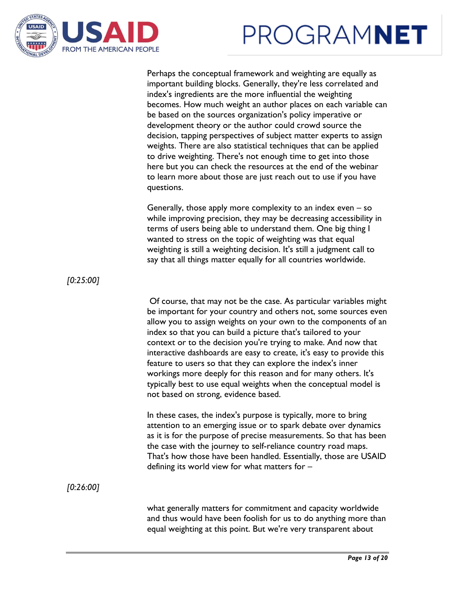



Perhaps the conceptual framework and weighting are equally as important building blocks. Generally, they're less correlated and index's ingredients are the more influential the weighting becomes. How much weight an author places on each variable can be based on the sources organization's policy imperative or development theory or the author could crowd source the decision, tapping perspectives of subject matter experts to assign weights. There are also statistical techniques that can be applied to drive weighting. There's not enough time to get into those here but you can check the resources at the end of the webinar to learn more about those are just reach out to use if you have questions.

Generally, those apply more complexity to an index even – so while improving precision, they may be decreasing accessibility in terms of users being able to understand them. One big thing I wanted to stress on the topic of weighting was that equal weighting is still a weighting decision. It's still a judgment call to say that all things matter equally for all countries worldwide.

Of course, that may not be the case. As particular variables might be important for your country and others not, some sources even allow you to assign weights on your own to the components of an index so that you can build a picture that's tailored to your context or to the decision you're trying to make. And now that interactive dashboards are easy to create, it's easy to provide this feature to users so that they can explore the index's inner workings more deeply for this reason and for many others. It's typically best to use equal weights when the conceptual model is not based on strong, evidence based.

In these cases, the index's purpose is typically, more to bring attention to an emerging issue or to spark debate over dynamics as it is for the purpose of precise measurements. So that has been the case with the journey to self-reliance country road maps. That's how those have been handled. Essentially, those are USAID defining its world view for what matters for –

*[0:26:00]*

*[0:25:00]*

what generally matters for commitment and capacity worldwide and thus would have been foolish for us to do anything more than equal weighting at this point. But we're very transparent about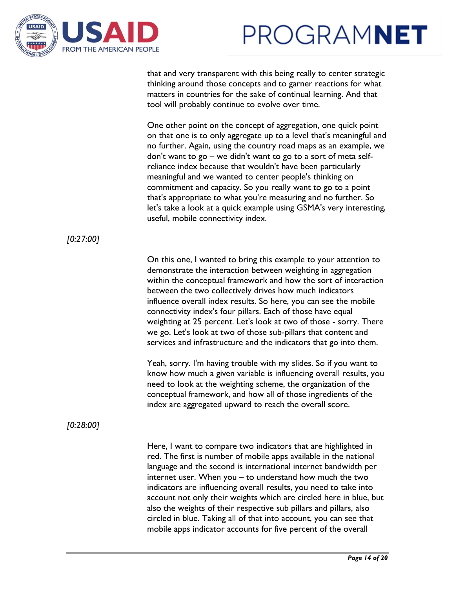



that and very transparent with this being really to center strategic thinking around those concepts and to garner reactions for what matters in countries for the sake of continual learning. And that tool will probably continue to evolve over time.

One other point on the concept of aggregation, one quick point on that one is to only aggregate up to a level that's meaningful and no further. Again, using the country road maps as an example, we don't want to go – we didn't want to go to a sort of meta selfreliance index because that wouldn't have been particularly meaningful and we wanted to center people's thinking on commitment and capacity. So you really want to go to a point that's appropriate to what you're measuring and no further. So let's take a look at a quick example using GSMA's very interesting, useful, mobile connectivity index.

### *[0:27:00]*

On this one, I wanted to bring this example to your attention to demonstrate the interaction between weighting in aggregation within the conceptual framework and how the sort of interaction between the two collectively drives how much indicators influence overall index results. So here, you can see the mobile connectivity index's four pillars. Each of those have equal weighting at 25 percent. Let's look at two of those - sorry. There we go. Let's look at two of those sub-pillars that content and services and infrastructure and the indicators that go into them.

Yeah, sorry. I'm having trouble with my slides. So if you want to know how much a given variable is influencing overall results, you need to look at the weighting scheme, the organization of the conceptual framework, and how all of those ingredients of the index are aggregated upward to reach the overall score.

### *[0:28:00]*

Here, I want to compare two indicators that are highlighted in red. The first is number of mobile apps available in the national language and the second is international internet bandwidth per internet user. When you – to understand how much the two indicators are influencing overall results, you need to take into account not only their weights which are circled here in blue, but also the weights of their respective sub pillars and pillars, also circled in blue. Taking all of that into account, you can see that mobile apps indicator accounts for five percent of the overall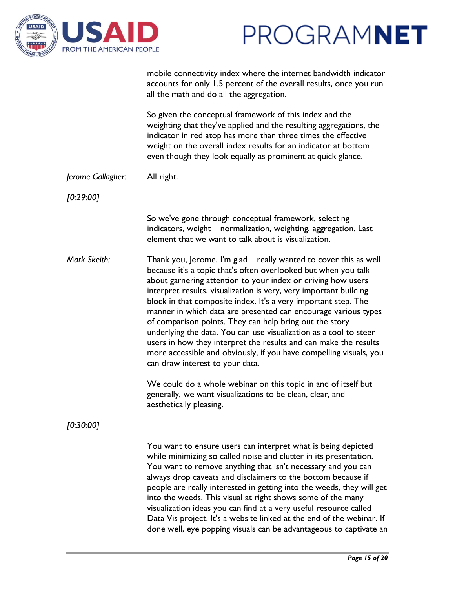



|                   | mobile connectivity index where the internet bandwidth indicator<br>accounts for only 1.5 percent of the overall results, once you run<br>all the math and do all the aggregation.                                                                                                                                                                                                                                                                                                                                                                                                                                                                                                                                        |
|-------------------|---------------------------------------------------------------------------------------------------------------------------------------------------------------------------------------------------------------------------------------------------------------------------------------------------------------------------------------------------------------------------------------------------------------------------------------------------------------------------------------------------------------------------------------------------------------------------------------------------------------------------------------------------------------------------------------------------------------------------|
|                   | So given the conceptual framework of this index and the<br>weighting that they've applied and the resulting aggregations, the<br>indicator in red atop has more than three times the effective<br>weight on the overall index results for an indicator at bottom<br>even though they look equally as prominent at quick glance.                                                                                                                                                                                                                                                                                                                                                                                           |
| Jerome Gallagher: | All right.                                                                                                                                                                                                                                                                                                                                                                                                                                                                                                                                                                                                                                                                                                                |
| [0.29:00]         |                                                                                                                                                                                                                                                                                                                                                                                                                                                                                                                                                                                                                                                                                                                           |
|                   | So we've gone through conceptual framework, selecting<br>indicators, weight - normalization, weighting, aggregation. Last<br>element that we want to talk about is visualization.                                                                                                                                                                                                                                                                                                                                                                                                                                                                                                                                         |
| Mark Skeith:      | Thank you, Jerome. I'm glad – really wanted to cover this as well<br>because it's a topic that's often overlooked but when you talk<br>about garnering attention to your index or driving how users<br>interpret results, visualization is very, very important building<br>block in that composite index. It's a very important step. The<br>manner in which data are presented can encourage various types<br>of comparison points. They can help bring out the story<br>underlying the data. You can use visualization as a tool to steer<br>users in how they interpret the results and can make the results<br>more accessible and obviously, if you have compelling visuals, you<br>can draw interest to your data. |
|                   | We could do a whole webinar on this topic in and of itself but<br>generally, we want visualizations to be clean, clear, and<br>aesthetically pleasing.                                                                                                                                                                                                                                                                                                                                                                                                                                                                                                                                                                    |
| [0:30:00]         |                                                                                                                                                                                                                                                                                                                                                                                                                                                                                                                                                                                                                                                                                                                           |
|                   | You want to ensure users can interpret what is being depicted<br>while minimizing so called noise and clutter in its presentation.<br>You want to remove anything that isn't necessary and you can<br>always drop caveats and disclaimers to the bottom because if<br>people are really interested in getting into the weeds, they will get<br>into the weeds. This visual at right shows some of the many<br>visualization ideas you can find at a very useful resource called<br>Data Vis project. It's a website linked at the end of the webinar. If<br>done well, eye popping visuals can be advantageous to captivate an                                                                                            |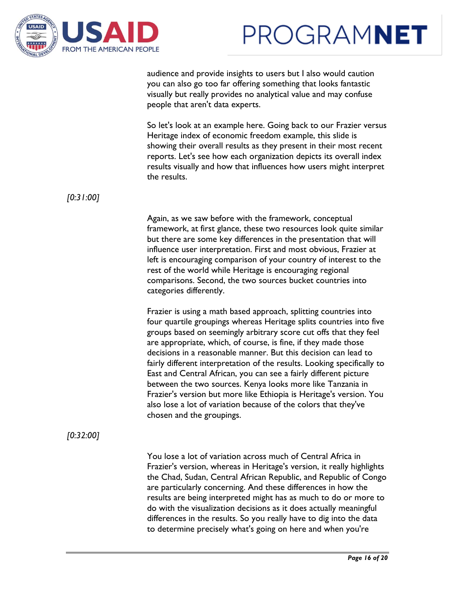



audience and provide insights to users but I also would caution you can also go too far offering something that looks fantastic visually but really provides no analytical value and may confuse people that aren't data experts.

So let's look at an example here. Going back to our Frazier versus Heritage index of economic freedom example, this slide is showing their overall results as they present in their most recent reports. Let's see how each organization depicts its overall index results visually and how that influences how users might interpret the results.

*[0:31:00]*

Again, as we saw before with the framework, conceptual framework, at first glance, these two resources look quite similar but there are some key differences in the presentation that will influence user interpretation. First and most obvious, Frazier at left is encouraging comparison of your country of interest to the rest of the world while Heritage is encouraging regional comparisons. Second, the two sources bucket countries into categories differently.

Frazier is using a math based approach, splitting countries into four quartile groupings whereas Heritage splits countries into five groups based on seemingly arbitrary score cut offs that they feel are appropriate, which, of course, is fine, if they made those decisions in a reasonable manner. But this decision can lead to fairly different interpretation of the results. Looking specifically to East and Central African, you can see a fairly different picture between the two sources. Kenya looks more like Tanzania in Frazier's version but more like Ethiopia is Heritage's version. You also lose a lot of variation because of the colors that they've chosen and the groupings.

*[0:32:00]*

You lose a lot of variation across much of Central Africa in Frazier's version, whereas in Heritage's version, it really highlights the Chad, Sudan, Central African Republic, and Republic of Congo are particularly concerning. And these differences in how the results are being interpreted might has as much to do or more to do with the visualization decisions as it does actually meaningful differences in the results. So you really have to dig into the data to determine precisely what's going on here and when you're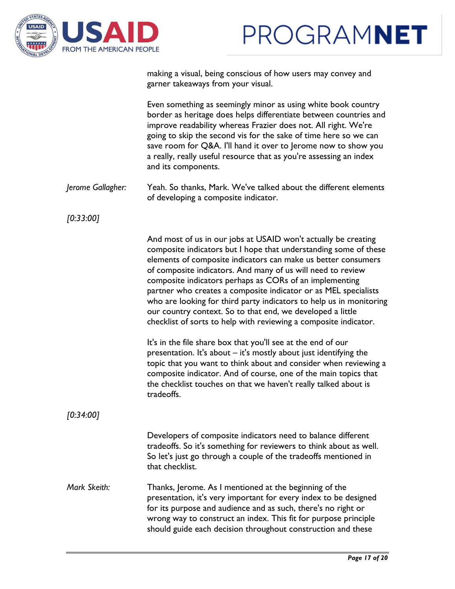



making a visual, being conscious of how users may convey and garner takeaways from your visual.

Even something as seemingly minor as using white book country border as heritage does helps differentiate between countries and improve readability whereas Frazier does not. All right. We're going to skip the second vis for the sake of time here so we can save room for Q&A. I'll hand it over to Jerome now to show you a really, really useful resource that as you're assessing an index and its components.

*Jerome Gallagher:* Yeah. So thanks, Mark. We've talked about the different elements of developing a composite indicator.

*[0:33:00]*

And most of us in our jobs at USAID won't actually be creating composite indicators but I hope that understanding some of these elements of composite indicators can make us better consumers of composite indicators. And many of us will need to review composite indicators perhaps as CORs of an implementing partner who creates a composite indicator or as MEL specialists who are looking for third party indicators to help us in monitoring our country context. So to that end, we developed a little checklist of sorts to help with reviewing a composite indicator.

It's in the file share box that you'll see at the end of our presentation. It's about – it's mostly about just identifying the topic that you want to think about and consider when reviewing a composite indicator. And of course, one of the main topics that the checklist touches on that we haven't really talked about is tradeoffs.

*[0:34:00]*

Developers of composite indicators need to balance different tradeoffs. So it's something for reviewers to think about as well. So let's just go through a couple of the tradeoffs mentioned in that checklist.

*Mark Skeith:* Thanks, Jerome. As I mentioned at the beginning of the presentation, it's very important for every index to be designed for its purpose and audience and as such, there's no right or wrong way to construct an index. This fit for purpose principle should guide each decision throughout construction and these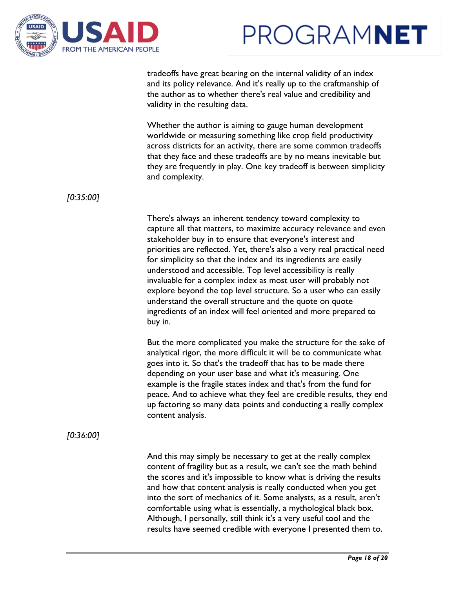



tradeoffs have great bearing on the internal validity of an index and its policy relevance. And it's really up to the craftmanship of the author as to whether there's real value and credibility and validity in the resulting data.

Whether the author is aiming to gauge human development worldwide or measuring something like crop field productivity across districts for an activity, there are some common tradeoffs that they face and these tradeoffs are by no means inevitable but they are frequently in play. One key tradeoff is between simplicity and complexity.

*[0:35:00]*

There's always an inherent tendency toward complexity to capture all that matters, to maximize accuracy relevance and even stakeholder buy in to ensure that everyone's interest and priorities are reflected. Yet, there's also a very real practical need for simplicity so that the index and its ingredients are easily understood and accessible. Top level accessibility is really invaluable for a complex index as most user will probably not explore beyond the top level structure. So a user who can easily understand the overall structure and the quote on quote ingredients of an index will feel oriented and more prepared to buy in.

But the more complicated you make the structure for the sake of analytical rigor, the more difficult it will be to communicate what goes into it. So that's the tradeoff that has to be made there depending on your user base and what it's measuring. One example is the fragile states index and that's from the fund for peace. And to achieve what they feel are credible results, they end up factoring so many data points and conducting a really complex content analysis.

*[0:36:00]*

And this may simply be necessary to get at the really complex content of fragility but as a result, we can't see the math behind the scores and it's impossible to know what is driving the results and how that content analysis is really conducted when you get into the sort of mechanics of it. Some analysts, as a result, aren't comfortable using what is essentially, a mythological black box. Although, I personally, still think it's a very useful tool and the results have seemed credible with everyone I presented them to.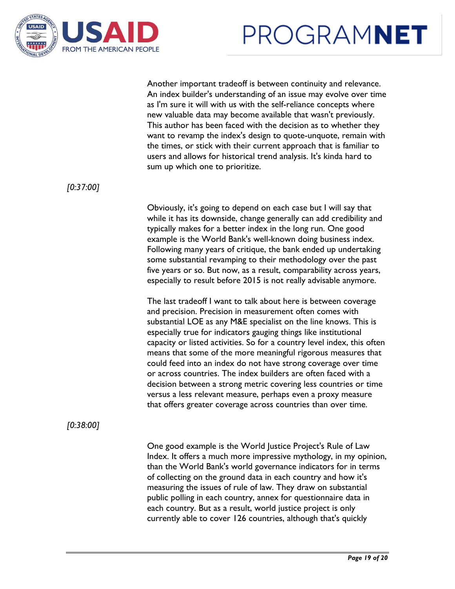



Another important tradeoff is between continuity and relevance. An index builder's understanding of an issue may evolve over time as I'm sure it will with us with the self-reliance concepts where new valuable data may become available that wasn't previously. This author has been faced with the decision as to whether they want to revamp the index's design to quote-unquote, remain with the times, or stick with their current approach that is familiar to users and allows for historical trend analysis. It's kinda hard to sum up which one to prioritize.

*[0:37:00]*

Obviously, it's going to depend on each case but I will say that while it has its downside, change generally can add credibility and typically makes for a better index in the long run. One good example is the World Bank's well-known doing business index. Following many years of critique, the bank ended up undertaking some substantial revamping to their methodology over the past five years or so. But now, as a result, comparability across years, especially to result before 2015 is not really advisable anymore.

The last tradeoff I want to talk about here is between coverage and precision. Precision in measurement often comes with substantial LOE as any M&E specialist on the line knows. This is especially true for indicators gauging things like institutional capacity or listed activities. So for a country level index, this often means that some of the more meaningful rigorous measures that could feed into an index do not have strong coverage over time or across countries. The index builders are often faced with a decision between a strong metric covering less countries or time versus a less relevant measure, perhaps even a proxy measure that offers greater coverage across countries than over time.

*[0:38:00]*

One good example is the World Justice Project's Rule of Law Index. It offers a much more impressive mythology, in my opinion, than the World Bank's world governance indicators for in terms of collecting on the ground data in each country and how it's measuring the issues of rule of law. They draw on substantial public polling in each country, annex for questionnaire data in each country. But as a result, world justice project is only currently able to cover 126 countries, although that's quickly